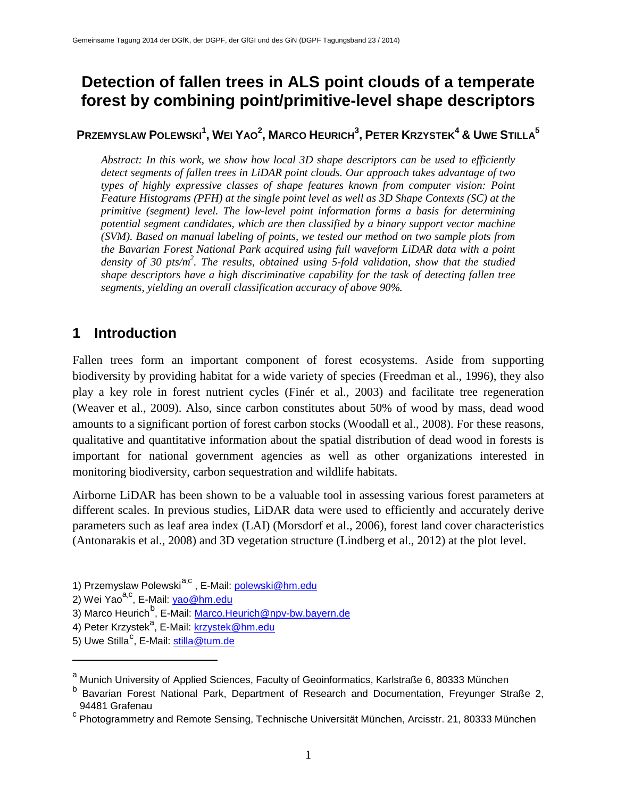# **Detection of fallen trees in ALS point clouds of a temperate forest by combining point/primitive-level shape descriptors**

# $P$ RZEMYSLAW  $P$ OLEWSKI $^1$ , **Wei Yao<sup>2</sup>, Marco Heurich** $^3$ **, Peter Krzystek** $^4$  **& Uwe Stilla** $^5$

*Abstract: In this work, we show how local 3D shape descriptors can be used to efficiently detect segments of fallen trees in LiDAR point clouds. Our approach takes advantage of two types of highly expressive classes of shape features known from computer vision: Point Feature Histograms (PFH) at the single point level as well as 3D Shape Contexts (SC) at the primitive (segment) level. The low-level point information forms a basis for determining potential segment candidates, which are then classified by a binary support vector machine (SVM). Based on manual labeling of points, we tested our method on two sample plots from the Bavarian Forest National Park acquired using full waveform LiDAR data with a point density of 30 pts/m2 . The results, obtained using 5-fold validation, show that the studied shape descriptors have a high discriminative capability for the task of detecting fallen tree segments, yielding an overall classification accuracy of above 90%.*

# **1 Introduction**

Fallen trees form an important component of forest ecosystems. Aside from supporting biodiversity by providing habitat for a wide variety of species (Freedman et al., 1996), they also play a key role in forest nutrient cycles (Finér et al., 2003) and facilitate tree regeneration (Weaver et al., 2009). Also, since carbon constitutes about 50% of wood by mass, dead wood amounts to a significant portion of forest carbon stocks (Woodall et al., 2008). For these reasons, qualitative and quantitative information about the spatial distribution of dead wood in forests is important for national government agencies as well as other organizations interested in monitoring biodiversity, carbon sequestration and wildlife habitats.

Airborne LiDAR has been shown to be a valuable tool in assessing various forest parameters at different scales. In previous studies, LiDAR data were used to efficiently and accurately derive parameters such as leaf area index (LAI) (Morsdorf et al., 2006), forest land cover characteristics (Antonarakis et al., 2008) and 3D vegetation structure (Lindberg et al., 2012) at the plot level.

- 4) Peter Krzystek<sup>a</sup>, E-Mail: <u>krzystek@hm.edu</u>
- 5) Uwe Stilla<sup>[c](#page-0-2)</sup>, E-Mail: <u>stilla@tum.de</u>

 $\overline{a}$ 

<sup>1)</sup> Przemyslaw Polewski<sup>[a,](#page-0-0)c</sup>, E-Mail: *polewski@hm.edu* 

<sup>2)</sup> Wei Yao<sup>a,c</sup>, E-Mail: <u>yao@hm.edu</u>

<sup>3)</sup> Marco Heurich<sup>[b](#page-0-1)</sup>, E-Mail: <u>Marco.Heurich@npv-bw.bayern.de</u>

<span id="page-0-0"></span>a Munich University of Applied Sciences, Faculty of Geoinformatics, Karlstraße 6, 80333 München

<span id="page-0-1"></span>b Bavarian Forest National Park, Department of Research and Documentation, Freyunger Straße 2, 94481 Grafenau

<span id="page-0-2"></span><sup>c</sup> Photogrammetry and Remote Sensing, Technische Universität München, Arcisstr. 21, 80333 München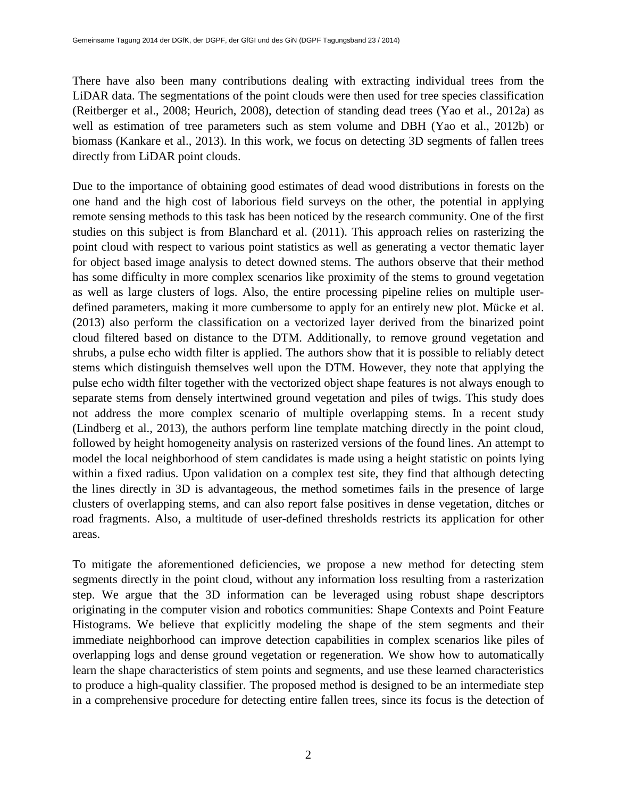There have also been many contributions dealing with extracting individual trees from the LiDAR data. The segmentations of the point clouds were then used for tree species classification (Reitberger et al., 2008; Heurich, 2008), detection of standing dead trees (Yao et al., 2012a) as well as estimation of tree parameters such as stem volume and DBH (Yao et al., 2012b) or biomass (Kankare et al., 2013). In this work, we focus on detecting 3D segments of fallen trees directly from LiDAR point clouds.

Due to the importance of obtaining good estimates of dead wood distributions in forests on the one hand and the high cost of laborious field surveys on the other, the potential in applying remote sensing methods to this task has been noticed by the research community. One of the first studies on this subject is from Blanchard et al. (2011). This approach relies on rasterizing the point cloud with respect to various point statistics as well as generating a vector thematic layer for object based image analysis to detect downed stems. The authors observe that their method has some difficulty in more complex scenarios like proximity of the stems to ground vegetation as well as large clusters of logs. Also, the entire processing pipeline relies on multiple userdefined parameters, making it more cumbersome to apply for an entirely new plot. Mücke et al. (2013) also perform the classification on a vectorized layer derived from the binarized point cloud filtered based on distance to the DTM. Additionally, to remove ground vegetation and shrubs, a pulse echo width filter is applied. The authors show that it is possible to reliably detect stems which distinguish themselves well upon the DTM. However, they note that applying the pulse echo width filter together with the vectorized object shape features is not always enough to separate stems from densely intertwined ground vegetation and piles of twigs. This study does not address the more complex scenario of multiple overlapping stems. In a recent study (Lindberg et al., 2013), the authors perform line template matching directly in the point cloud, followed by height homogeneity analysis on rasterized versions of the found lines. An attempt to model the local neighborhood of stem candidates is made using a height statistic on points lying within a fixed radius. Upon validation on a complex test site, they find that although detecting the lines directly in 3D is advantageous, the method sometimes fails in the presence of large clusters of overlapping stems, and can also report false positives in dense vegetation, ditches or road fragments. Also, a multitude of user-defined thresholds restricts its application for other areas.

To mitigate the aforementioned deficiencies, we propose a new method for detecting stem segments directly in the point cloud, without any information loss resulting from a rasterization step. We argue that the 3D information can be leveraged using robust shape descriptors originating in the computer vision and robotics communities: Shape Contexts and Point Feature Histograms. We believe that explicitly modeling the shape of the stem segments and their immediate neighborhood can improve detection capabilities in complex scenarios like piles of overlapping logs and dense ground vegetation or regeneration. We show how to automatically learn the shape characteristics of stem points and segments, and use these learned characteristics to produce a high-quality classifier. The proposed method is designed to be an intermediate step in a comprehensive procedure for detecting entire fallen trees, since its focus is the detection of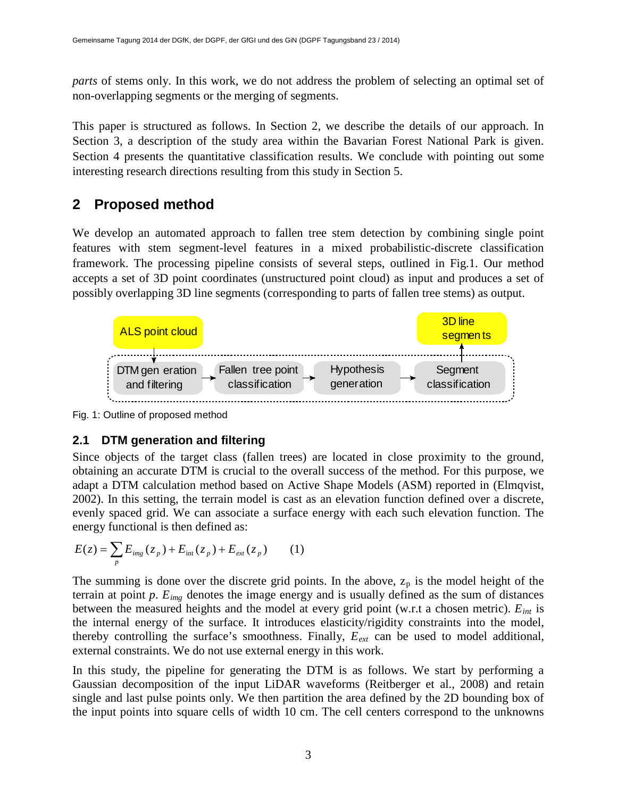*parts* of stems only. In this work, we do not address the problem of selecting an optimal set of non-overlapping segments or the merging of segments.

This paper is structured as follows. In Section 2, we describe the details of our approach. In Section 3, a description of the study area within the Bavarian Forest National Park is given. Section 4 presents the quantitative classification results. We conclude with pointing out some interesting research directions resulting from this study in Section 5.

# **2 Proposed method**

We develop an automated approach to fallen tree stem detection by combining single point features with stem segment-level features in a mixed probabilistic-discrete classification framework. The processing pipeline consists of several steps, outlined in Fig.1. Our method accepts a set of 3D point coordinates (unstructured point cloud) as input and produces a set of possibly overlapping 3D line segments (corresponding to parts of fallen tree stems) as output.



Fig. 1: Outline of proposed method

### <span id="page-2-0"></span>**2.1 DTM generation and filtering**

Since objects of the target class (fallen trees) are located in close proximity to the ground, obtaining an accurate DTM is crucial to the overall success of the method. For this purpose, we adapt a DTM calculation method based on Active Shape Models (ASM) reported in (Elmqvist, 2002). In this setting, the terrain model is cast as an elevation function defined over a discrete, evenly spaced grid. We can associate a surface energy with each such elevation function. The energy functional is then defined as:

$$
E(z) = \sum_{p} E_{img}(z_p) + E_{int}(z_p) + E_{ext}(z_p)
$$
 (1)

The summing is done over the discrete grid points. In the above,  $z_p$  is the model height of the terrain at point  $p$ .  $E_{img}$  denotes the image energy and is usually defined as the sum of distances between the measured heights and the model at every grid point (w.r.t a chosen metric).  $E_{int}$  is the internal energy of the surface. It introduces elasticity/rigidity constraints into the model, thereby controlling the surface's smoothness. Finally,  $E_{ext}$  can be used to model additional, external constraints. We do not use external energy in this work.

In this study, the pipeline for generating the DTM is as follows. We start by performing a Gaussian decomposition of the input LiDAR waveforms (Reitberger et al., 2008) and retain single and last pulse points only. We then partition the area defined by the 2D bounding box of the input points into square cells of width 10 cm. The cell centers correspond to the unknowns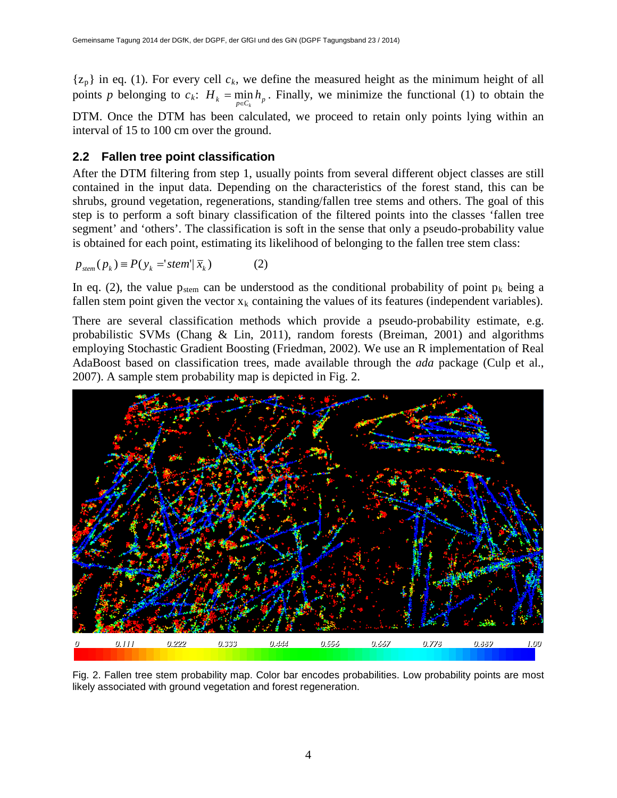${z_n}$  in eq. (1). For every cell  $c_k$ , we define the measured height as the minimum height of all points *p* belonging to  $c_k$ :  $H_k = \min_{p \in C_k} h_p$ . Finally, we minimize the functional (1) to obtain the DTM. Once the DTM has been calculated, we proceed to retain only points lying within an interval of 15 to 100 cm over the ground.

#### <span id="page-3-0"></span>**2.2 Fallen tree point classification**

After the DTM filtering from step 1, usually points from several different object classes are still contained in the input data. Depending on the characteristics of the forest stand, this can be shrubs, ground vegetation, regenerations, standing/fallen tree stems and others. The goal of this step is to perform a soft binary classification of the filtered points into the classes 'fallen tree segment' and 'others'. The classification is soft in the sense that only a pseudo-probability value is obtained for each point, estimating its likelihood of belonging to the fallen tree stem class:

$$
p_{\text{stem}}(p_k) \equiv P(y_k = \text{stem}'|\,\overline{x}_k) \tag{2}
$$

In eq. (2), the value  $p_{stem}$  can be understood as the conditional probability of point  $p_k$  being a fallen stem point given the vector  $x_k$  containing the values of its features (independent variables).

There are several classification methods which provide a pseudo-probability estimate, e.g. probabilistic SVMs (Chang & Lin, 2011), random forests (Breiman, 2001) and algorithms employing Stochastic Gradient Boosting (Friedman, 2002). We use an R implementation of Real AdaBoost based on classification trees, made available through the *ada* package (Culp et al., 2007). A sample stem probability map is depicted in Fig. 2.



Fig. 2. Fallen tree stem probability map. Color bar encodes probabilities. Low probability points are most likely associated with ground vegetation and forest regeneration.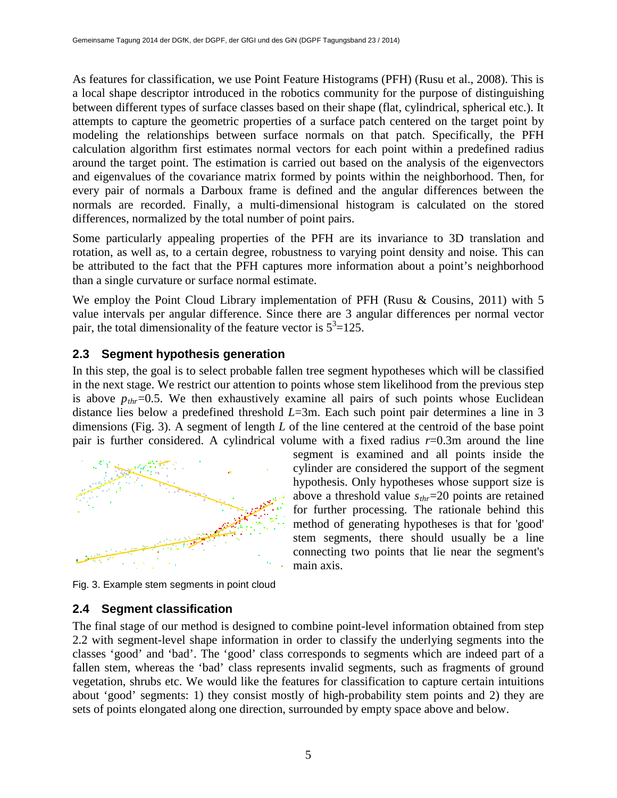As features for classification, we use Point Feature Histograms (PFH) (Rusu et al., 2008). This is a local shape descriptor introduced in the robotics community for the purpose of distinguishing between different types of surface classes based on their shape (flat, cylindrical, spherical etc.). It attempts to capture the geometric properties of a surface patch centered on the target point by modeling the relationships between surface normals on that patch. Specifically, the PFH calculation algorithm first estimates normal vectors for each point within a predefined radius around the target point. The estimation is carried out based on the analysis of the eigenvectors and eigenvalues of the covariance matrix formed by points within the neighborhood. Then, for every pair of normals a Darboux frame is defined and the angular differences between the normals are recorded. Finally, a multi-dimensional histogram is calculated on the stored differences, normalized by the total number of point pairs.

Some particularly appealing properties of the PFH are its invariance to 3D translation and rotation, as well as, to a certain degree, robustness to varying point density and noise. This can be attributed to the fact that the PFH captures more information about a point's neighborhood than a single curvature or surface normal estimate.

We employ the Point Cloud Library implementation of PFH (Rusu & Cousins, 2011) with 5 value intervals per angular difference. Since there are 3 angular differences per normal vector pair, the total dimensionality of the feature vector is  $5^3$ =125.

#### <span id="page-4-0"></span>**2.3 Segment hypothesis generation**

In this step, the goal is to select probable fallen tree segment hypotheses which will be classified in the next stage. We restrict our attention to points whose stem likelihood from the previous step is above  $p_{thr}$ =0.5. We then exhaustively examine all pairs of such points whose Euclidean distance lies below a predefined threshold *L*=3m. Each such point pair determines a line in 3 dimensions (Fig. 3). A segment of length *L* of the line centered at the centroid of the base point pair is further considered. A cylindrical volume with a fixed radius *r*=0.3m around the line



segment is examined and all points inside the cylinder are considered the support of the segment hypothesis. Only hypotheses whose support size is above a threshold value *sthr*=20 points are retained for further processing. The rationale behind this method of generating hypotheses is that for 'good' stem segments, there should usually be a line connecting two points that lie near the segment's main axis.

Fig. 3. Example stem segments in point cloud

#### <span id="page-4-1"></span>**2.4 Segment classification**

The final stage of our method is designed to combine point-level information obtained from step [2.2](#page-3-0) with segment-level shape information in order to classify the underlying segments into the classes 'good' and 'bad'. The 'good' class corresponds to segments which are indeed part of a fallen stem, whereas the 'bad' class represents invalid segments, such as fragments of ground vegetation, shrubs etc. We would like the features for classification to capture certain intuitions about 'good' segments: 1) they consist mostly of high-probability stem points and 2) they are sets of points elongated along one direction, surrounded by empty space above and below.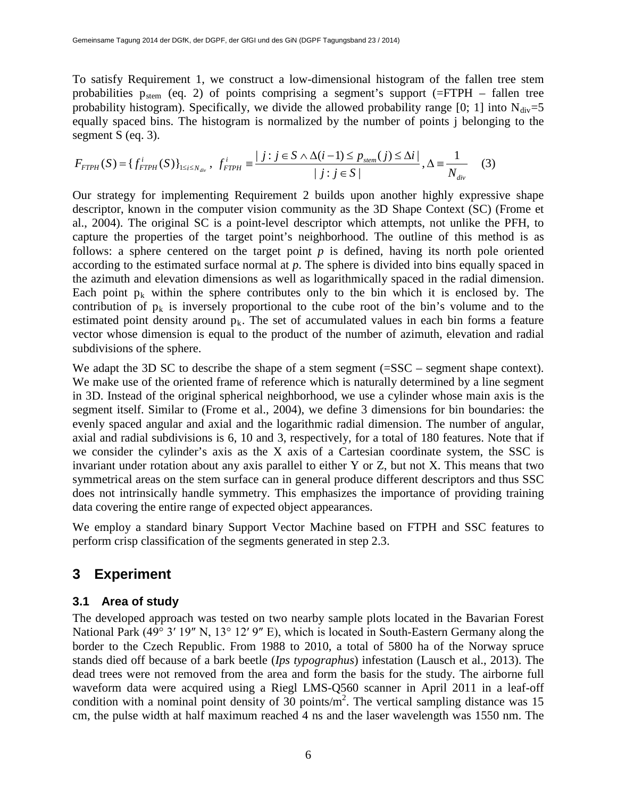To satisfy Requirement 1, we construct a low-dimensional histogram of the fallen tree stem probabilities  $p_{stem}$  (eq. 2) of points comprising a segment's support (=FTPH – fallen tree probability histogram). Specifically, we divide the allowed probability range [0; 1] into  $N_{div}=5$ equally spaced bins. The histogram is normalized by the number of points j belonging to the segment S (eq. 3).

$$
F_{FTPH}(S) = \{f_{FTPH}^i(S)\}_{1 \le i \le N_{div}}, \ f_{FTPH}^i = \frac{|j : j \in S \land \Delta(i-1) \le p_{stem}(j) \le \Delta i|}{|j : j \in S|}, \Delta = \frac{1}{N_{div}} \quad (3)
$$

Our strategy for implementing Requirement 2 builds upon another highly expressive shape descriptor, known in the computer vision community as the 3D Shape Context (SC) (Frome et al., 2004). The original SC is a point-level descriptor which attempts, not unlike the PFH, to capture the properties of the target point's neighborhood. The outline of this method is as follows: a sphere centered on the target point *p* is defined, having its north pole oriented according to the estimated surface normal at *p*. The sphere is divided into bins equally spaced in the azimuth and elevation dimensions as well as logarithmically spaced in the radial dimension. Each point  $p_k$  within the sphere contributes only to the bin which it is enclosed by. The contribution of  $p_k$  is inversely proportional to the cube root of the bin's volume and to the estimated point density around  $p_k$ . The set of accumulated values in each bin forms a feature vector whose dimension is equal to the product of the number of azimuth, elevation and radial subdivisions of the sphere.

We adapt the 3D SC to describe the shape of a stem segment (=SSC – segment shape context). We make use of the oriented frame of reference which is naturally determined by a line segment in 3D. Instead of the original spherical neighborhood, we use a cylinder whose main axis is the segment itself. Similar to (Frome et al., 2004), we define 3 dimensions for bin boundaries: the evenly spaced angular and axial and the logarithmic radial dimension. The number of angular, axial and radial subdivisions is 6, 10 and 3, respectively, for a total of 180 features. Note that if we consider the cylinder's axis as the X axis of a Cartesian coordinate system, the SSC is invariant under rotation about any axis parallel to either Y or Z, but not X. This means that two symmetrical areas on the stem surface can in general produce different descriptors and thus SSC does not intrinsically handle symmetry. This emphasizes the importance of providing training data covering the entire range of expected object appearances.

We employ a standard binary Support Vector Machine based on FTPH and SSC features to perform crisp classification of the segments generated in step [2.3.](#page-4-0)

# **3 Experiment**

#### **3.1 Area of study**

The developed approach was tested on two nearby sample plots located in the Bavarian Forest National Park (49° 3′ 19″ N, 13° 12′ 9″ E), which is located in South-Eastern Germany along the border to the Czech Republic. From 1988 to 2010, a total of 5800 ha of the Norway spruce stands died off because of a bark beetle (*Ips typographus*) infestation (Lausch et al., 2013). The dead trees were not removed from the area and form the basis for the study. The airborne full waveform data were acquired using a Riegl LMS-0560 scanner in April 2011 in a leaf-off condition with a nominal point density of 30 points/ $m^2$ . The vertical sampling distance was 15 cm, the pulse width at half maximum reached 4 ns and the laser wavelength was 1550 nm. The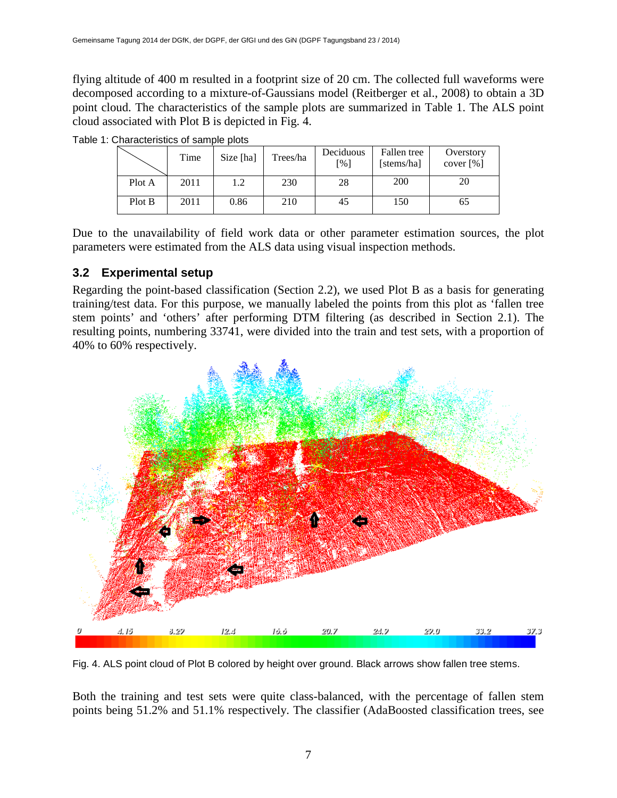flying altitude of 400 m resulted in a footprint size of 20 cm. The collected full waveforms were decomposed according to a mixture-of-Gaussians model (Reitberger et al., 2008) to obtain a 3D point cloud. The characteristics of the sample plots are summarized in Table 1. The ALS point cloud associated with Plot B is depicted in Fig. 4.

|        | Time | Size [ha] | Trees/ha | Deciduous<br>[%] | Fallen tree<br>[stems/ha] | Overstory<br>cover $[%]$ |
|--------|------|-----------|----------|------------------|---------------------------|--------------------------|
| Plot A | 2011 | 1.2       | 230      | 28               | 200                       | 20                       |
| Plot B | 2011 | 0.86      | 210      | 45               | 150                       | 65                       |

Table 1: Characteristics of sample plots

Due to the unavailability of field work data or other parameter estimation sources, the plot parameters were estimated from the ALS data using visual inspection methods.

#### <span id="page-6-0"></span>**3.2 Experimental setup**

Regarding the point-based classification (Section [2.2\)](#page-3-0), we used Plot B as a basis for generating training/test data. For this purpose, we manually labeled the points from this plot as 'fallen tree stem points' and 'others' after performing DTM filtering (as described in Section [2.1\)](#page-2-0). The resulting points, numbering 33741, were divided into the train and test sets, with a proportion of 40% to 60% respectively.



Fig. 4. ALS point cloud of Plot B colored by height over ground. Black arrows show fallen tree stems.

Both the training and test sets were quite class-balanced, with the percentage of fallen stem points being 51.2% and 51.1% respectively. The classifier (AdaBoosted classification trees, see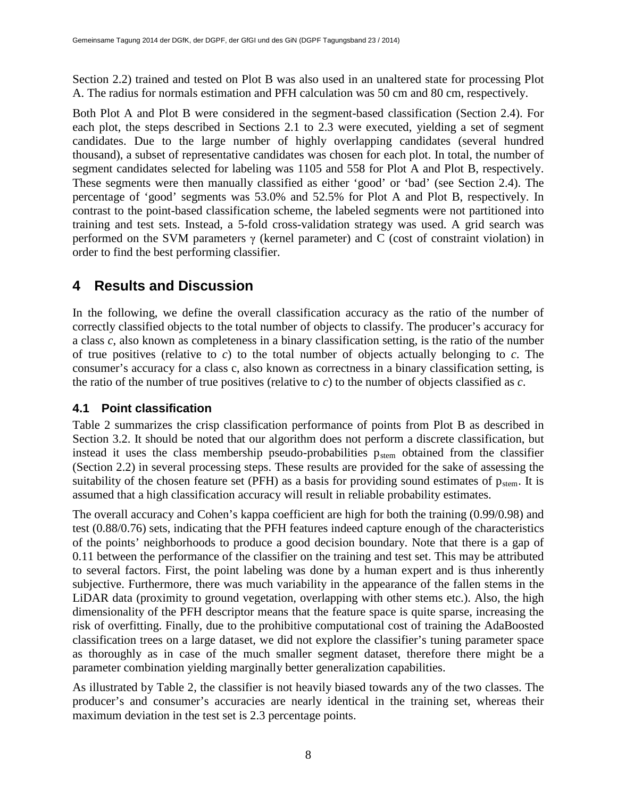Section [2.2\)](#page-3-0) trained and tested on Plot B was also used in an unaltered state for processing Plot A. The radius for normals estimation and PFH calculation was 50 cm and 80 cm, respectively.

Both Plot A and Plot B were considered in the segment-based classification (Section [2.4\)](#page-4-1). For each plot, the steps described in Sections [2.1](#page-2-0) to [2.3](#page-4-0) were executed, yielding a set of segment candidates. Due to the large number of highly overlapping candidates (several hundred thousand), a subset of representative candidates was chosen for each plot. In total, the number of segment candidates selected for labeling was 1105 and 558 for Plot A and Plot B, respectively. These segments were then manually classified as either 'good' or 'bad' (see Section [2.4\)](#page-4-1). The percentage of 'good' segments was 53.0% and 52.5% for Plot A and Plot B, respectively. In contrast to the point-based classification scheme, the labeled segments were not partitioned into training and test sets. Instead, a 5-fold cross-validation strategy was used. A grid search was performed on the SVM parameters  $\gamma$  (kernel parameter) and C (cost of constraint violation) in order to find the best performing classifier.

# **4 Results and Discussion**

In the following, we define the overall classification accuracy as the ratio of the number of correctly classified objects to the total number of objects to classify. The producer's accuracy for a class *c*, also known as completeness in a binary classification setting, is the ratio of the number of true positives (relative to *c*) to the total number of objects actually belonging to *c*. The consumer's accuracy for a class c, also known as correctness in a binary classification setting, is the ratio of the number of true positives (relative to *c*) to the number of objects classified as *c*.

#### **4.1 Point classification**

Table 2 summarizes the crisp classification performance of points from Plot B as described in Section [3.2.](#page-6-0) It should be noted that our algorithm does not perform a discrete classification, but instead it uses the class membership pseudo-probabilities  $p_{stem}$  obtained from the classifier (Section [2.2\)](#page-3-0) in several processing steps. These results are provided for the sake of assessing the suitability of the chosen feature set (PFH) as a basis for providing sound estimates of  $p_{stem}$ . It is assumed that a high classification accuracy will result in reliable probability estimates.

The overall accuracy and Cohen's kappa coefficient are high for both the training (0.99/0.98) and test (0.88/0.76) sets, indicating that the PFH features indeed capture enough of the characteristics of the points' neighborhoods to produce a good decision boundary. Note that there is a gap of 0.11 between the performance of the classifier on the training and test set. This may be attributed to several factors. First, the point labeling was done by a human expert and is thus inherently subjective. Furthermore, there was much variability in the appearance of the fallen stems in the LiDAR data (proximity to ground vegetation, overlapping with other stems etc.). Also, the high dimensionality of the PFH descriptor means that the feature space is quite sparse, increasing the risk of overfitting. Finally, due to the prohibitive computational cost of training the AdaBoosted classification trees on a large dataset, we did not explore the classifier's tuning parameter space as thoroughly as in case of the much smaller segment dataset, therefore there might be a parameter combination yielding marginally better generalization capabilities.

As illustrated by Table 2, the classifier is not heavily biased towards any of the two classes. The producer's and consumer's accuracies are nearly identical in the training set, whereas their maximum deviation in the test set is 2.3 percentage points.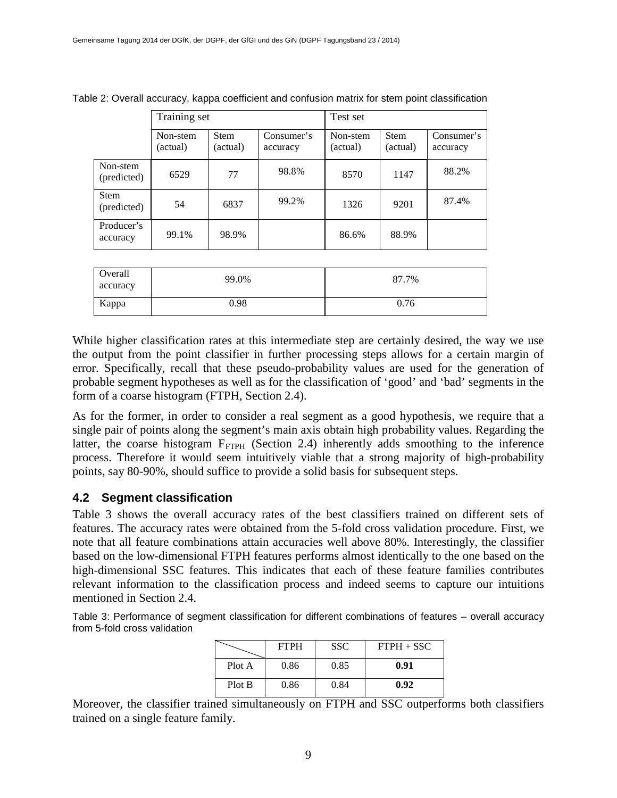|                            | Training set         |                         |                        | Test set             |                         |                        |
|----------------------------|----------------------|-------------------------|------------------------|----------------------|-------------------------|------------------------|
|                            | Non-stem<br>(actual) | <b>Stem</b><br>(actual) | Consumer's<br>accuracy | Non-stem<br>(actual) | <b>Stem</b><br>(actual) | Consumer's<br>accuracy |
| Non-stem<br>(predicted)    | 6529                 | 77                      | 98.8%                  | 8570                 | 1147                    | 88.2%                  |
| <b>Stem</b><br>(predicted) | 54                   | 6837                    | 99.2%                  | 1326                 | 9201                    | 87.4%                  |
| Producer's<br>accuracy     | 99.1%                | 98.9%                   |                        | 86.6%                | 88.9%                   |                        |

Table 2: Overall accuracy, kappa coefficient and confusion matrix for stem point classification

| Overall<br>accuracy | 99.0% | 87.7% |  |
|---------------------|-------|-------|--|
| Kappa               | 0.98  | 0.76  |  |

While higher classification rates at this intermediate step are certainly desired, the way we use the output from the point classifier in further processing steps allows for a certain margin of error. Specifically, recall that these pseudo-probability values are used for the generation of probable segment hypotheses as well as for the classification of 'good' and 'bad' segments in the form of a coarse histogram (FTPH, Section [2.4\)](#page-4-1).

As for the former, in order to consider a real segment as a good hypothesis, we require that a single pair of points along the segment's main axis obtain high probability values. Regarding the latter, the coarse histogram  $F_{FTPH}$  (Section [2.4\)](#page-4-1) inherently adds smoothing to the inference process. Therefore it would seem intuitively viable that a strong majority of high-probability points, say 80-90%, should suffice to provide a solid basis for subsequent steps.

#### **4.2 Segment classification**

Table 3 shows the overall accuracy rates of the best classifiers trained on different sets of features. The accuracy rates were obtained from the 5-fold cross validation procedure. First, we note that all feature combinations attain accuracies well above 80%. Interestingly, the classifier based on the low-dimensional FTPH features performs almost identically to the one based on the high-dimensional SSC features. This indicates that each of these feature families contributes relevant information to the classification process and indeed seems to capture our intuitions mentioned in Section [2.4.](#page-4-1)

Table 3: Performance of segment classification for different combinations of features – overall accuracy from 5-fold cross validation

|        | <b>FTPH</b> | <b>SSC</b> | $FTPH + SSC$ |
|--------|-------------|------------|--------------|
| Plot A | 0.86        | 0.85       | 0.91         |
| Plot B | 0.86        | 0.84       | 0.92         |

Moreover, the classifier trained simultaneously on FTPH and SSC outperforms both classifiers trained on a single feature family.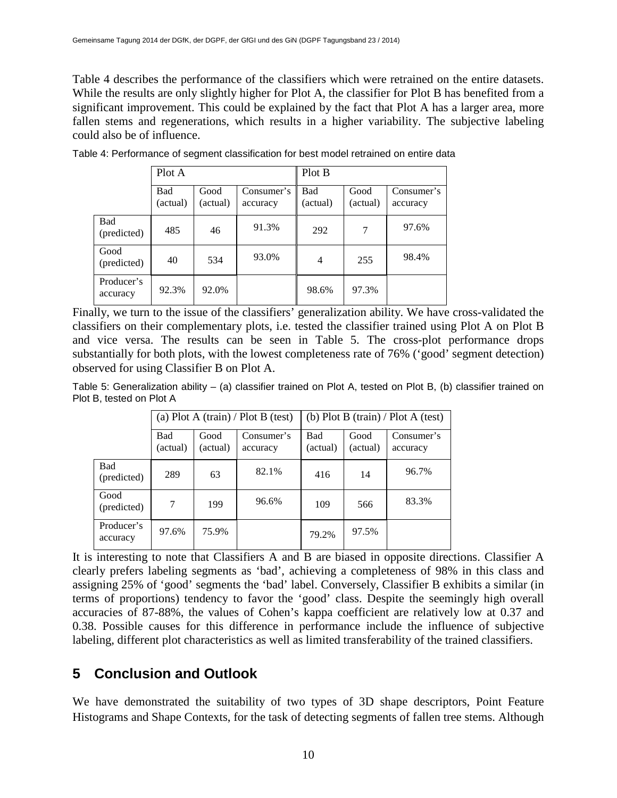Table 4 describes the performance of the classifiers which were retrained on the entire datasets. While the results are only slightly higher for Plot A, the classifier for Plot B has benefited from a significant improvement. This could be explained by the fact that Plot A has a larger area, more fallen stems and regenerations, which results in a higher variability. The subjective labeling could also be of influence.

|                        | Plot A          |                  |                        | Plot B          |                  |                        |
|------------------------|-----------------|------------------|------------------------|-----------------|------------------|------------------------|
|                        | Bad<br>(actual) | Good<br>(actual) | Consumer's<br>accuracy | Bad<br>(actual) | Good<br>(actual) | Consumer's<br>accuracy |
| Bad<br>(predicted)     | 485             | 46               | 91.3%                  | 292             | 7                | 97.6%                  |
| Good<br>(predicted)    | 40              | 534              | 93.0%                  | 4               | 255              | 98.4%                  |
| Producer's<br>accuracy | 92.3%           | 92.0%            |                        | 98.6%           | 97.3%            |                        |

Table 4: Performance of segment classification for best model retrained on entire data

Finally, we turn to the issue of the classifiers' generalization ability. We have cross-validated the classifiers on their complementary plots, i.e. tested the classifier trained using Plot A on Plot B and vice versa. The results can be seen in Table 5. The cross-plot performance drops substantially for both plots, with the lowest completeness rate of 76% ('good' segment detection) observed for using Classifier B on Plot A.

Table 5: Generalization ability – (a) classifier trained on Plot A, tested on Plot B, (b) classifier trained on Plot B, tested on Plot A

|                        | (a) Plot A (train) / Plot B (test) |                  |                        | (b) Plot B (train) / Plot A (test) |                  |                        |  |
|------------------------|------------------------------------|------------------|------------------------|------------------------------------|------------------|------------------------|--|
|                        | Bad<br>(actual)                    | Good<br>(actual) | Consumer's<br>accuracy | Bad<br>(actual)                    | Good<br>(actual) | Consumer's<br>accuracy |  |
| Bad<br>(predicted)     | 289                                | 63               | 82.1%                  | 416                                | 14               | 96.7%                  |  |
| Good<br>(predicted)    | 7                                  | 199              | 96.6%                  | 109                                | 566              | 83.3%                  |  |
| Producer's<br>accuracy | 97.6%                              | 75.9%            |                        | 79.2%                              | 97.5%            |                        |  |

It is interesting to note that Classifiers A and B are biased in opposite directions. Classifier A clearly prefers labeling segments as 'bad', achieving a completeness of 98% in this class and assigning 25% of 'good' segments the 'bad' label. Conversely, Classifier B exhibits a similar (in terms of proportions) tendency to favor the 'good' class. Despite the seemingly high overall accuracies of 87-88%, the values of Cohen's kappa coefficient are relatively low at 0.37 and 0.38. Possible causes for this difference in performance include the influence of subjective labeling, different plot characteristics as well as limited transferability of the trained classifiers.

# **5 Conclusion and Outlook**

We have demonstrated the suitability of two types of 3D shape descriptors, Point Feature Histograms and Shape Contexts, for the task of detecting segments of fallen tree stems. Although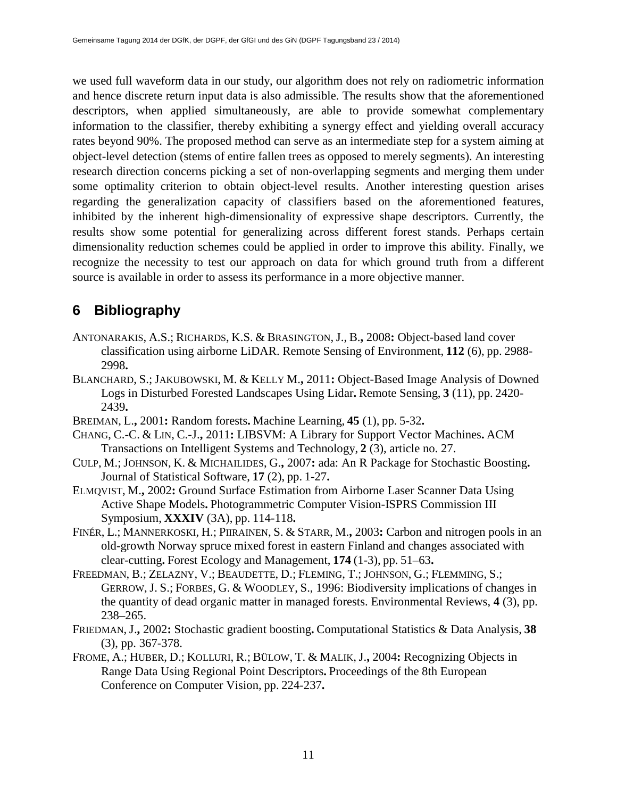we used full waveform data in our study, our algorithm does not rely on radiometric information and hence discrete return input data is also admissible. The results show that the aforementioned descriptors, when applied simultaneously, are able to provide somewhat complementary information to the classifier, thereby exhibiting a synergy effect and yielding overall accuracy rates beyond 90%. The proposed method can serve as an intermediate step for a system aiming at object-level detection (stems of entire fallen trees as opposed to merely segments). An interesting research direction concerns picking a set of non-overlapping segments and merging them under some optimality criterion to obtain object-level results. Another interesting question arises regarding the generalization capacity of classifiers based on the aforementioned features, inhibited by the inherent high-dimensionality of expressive shape descriptors. Currently, the results show some potential for generalizing across different forest stands. Perhaps certain dimensionality reduction schemes could be applied in order to improve this ability. Finally, we recognize the necessity to test our approach on data for which ground truth from a different source is available in order to assess its performance in a more objective manner.

# **6 Bibliography**

- ANTONARAKIS, A.S.; RICHARDS, K.S. & BRASINGTON, J., B.**,** 2008**:** Object-based land cover classification using airborne LiDAR. Remote Sensing of Environment, **112** (6), pp. 2988- 2998**.**
- BLANCHARD, S.;JAKUBOWSKI, M. & KELLY M.**,** 2011**:** Object-Based Image Analysis of Downed Logs in Disturbed Forested Landscapes Using Lidar**.** Remote Sensing, **3** (11), pp. 2420- 2439**.**
- BREIMAN, L.**,** 2001**:** Random forests**.** Machine Learning, **45** (1), pp. 5-32**.**
- CHANG, C.-C. & LIN, C.-J.**,** 2011**:** LIBSVM: A Library for Support Vector Machines**.** ACM Transactions on Intelligent Systems and Technology, **2** (3), article no. 27.
- CULP, M.; JOHNSON, K. & MICHAILIDES, G.**,** 2007**:** ada: An R Package for Stochastic Boosting**.** Journal of Statistical Software, **17** (2), pp. 1-27**.**
- ELMQVIST, M.**,** 2002**:** Ground Surface Estimation from Airborne Laser Scanner Data Using Active Shape Models**.** Photogrammetric Computer Vision-ISPRS Commission III Symposium, **XXXIV** (3A), pp. 114-118**.**
- FINÉR, L.; MANNERKOSKI, H.; PIIRAINEN, S. & STARR, M.**,** 2003**:** Carbon and nitrogen pools in an old-growth Norway spruce mixed forest in eastern Finland and changes associated with clear-cutting**.** Forest Ecology and Management, **174** (1-3), pp. 51–63**.**
- FREEDMAN, B.; ZELAZNY, V.; BEAUDETTE, D.; FLEMING, T.; JOHNSON, G.; FLEMMING, S.; GERROW, J. S.; FORBES, G. & WOODLEY, S., 1996: Biodiversity implications of changes in the quantity of dead organic matter in managed forests. Environmental Reviews, **4** (3), pp. 238–265.
- FRIEDMAN, J.**,** 2002**:** Stochastic gradient boosting**.** Computational Statistics & Data Analysis, **38** (3), pp. 367-378.
- FROME, A.; HUBER, D.; KOLLURI, R.; BÜLOW, T. & MALIK, J.**,** 2004**:** Recognizing Objects in Range Data Using Regional Point Descriptors**.** Proceedings of the 8th European Conference on Computer Vision, pp. 224-237**.**